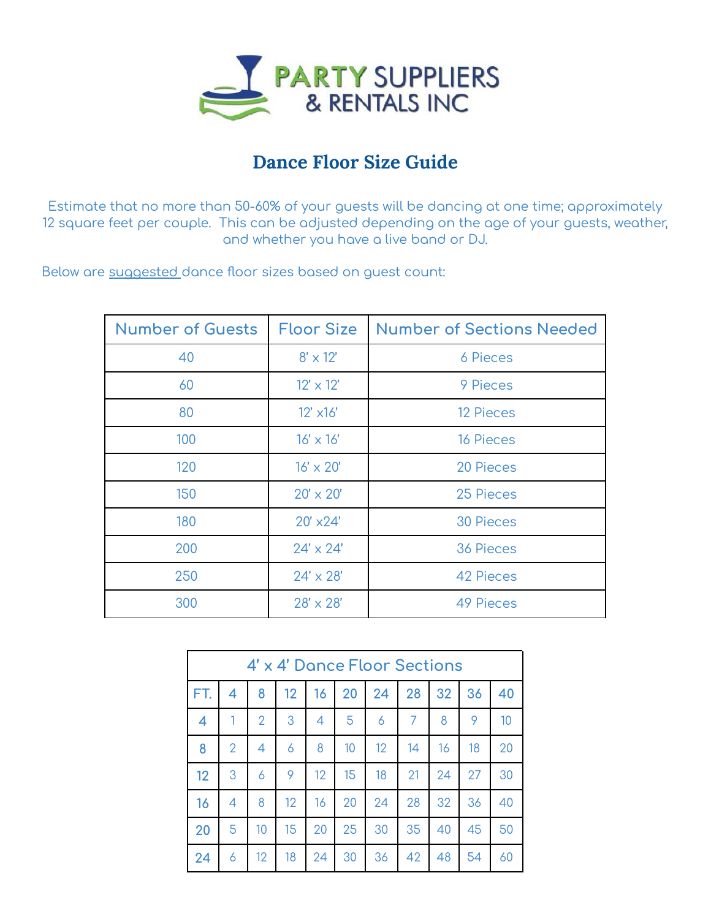

## **Dance Floor Size Guide**

Estimate that no more than 50-60% of your guests will be dancing at one time; approximately square feet per couple. This can be adjusted depending on the age of your guests, weather, and whether you have a live band or DJ.

Below are suggested dance floor sizes based on guest count:

| <b>Number of Guests</b> | <b>Floor Size</b>  | <b>Number of Sections Needed</b> |  |  |  |
|-------------------------|--------------------|----------------------------------|--|--|--|
| 40                      | $8' \times 12'$    | 6 Pieces                         |  |  |  |
| 60                      | $12' \times 12'$   | 9 Pieces                         |  |  |  |
| 80                      | $12'$ $\times 16'$ | <b>12 Pieces</b>                 |  |  |  |
| 100                     | $16' \times 16'$   | <b>16 Pieces</b>                 |  |  |  |
| 120                     | $16' \times 20'$   | 20 Pieces                        |  |  |  |
| 150                     | $20' \times 20'$   | 25 Pieces                        |  |  |  |
| 180                     | $20'$ $\times 24'$ | <b>30 Pieces</b>                 |  |  |  |
| 200                     | $24' \times 24'$   | <b>36 Pieces</b>                 |  |  |  |
| 250                     | $24' \times 28'$   | <b>42 Pieces</b>                 |  |  |  |
| 300                     | $28' \times 28'$   | <b>49 Pieces</b>                 |  |  |  |

| 4' x 4' Dance Floor Sections |                |    |    |    |    |                   |                |    |    |    |
|------------------------------|----------------|----|----|----|----|-------------------|----------------|----|----|----|
| FT.                          | 4              | 8  | 12 | 16 | 20 | 24                | 28             | 32 | 36 | 40 |
| 4                            |                | 2  | 3  | 4  | 5  | 6                 | $\overline{7}$ | 8  | 9  | 10 |
| 8                            | $\overline{2}$ | 4  | 6  | 8  | 10 | $12 \overline{ }$ | 14             | 16 | 18 | 20 |
| 12                           | 3              | 6  | 9  | 12 | 15 | 18                | 21             | 24 | 27 | 30 |
| 16                           | 4              | 8  | 12 | 16 | 20 | 24                | 28             | 32 | 36 | 40 |
| 20                           | 5              | 10 | 15 | 20 | 25 | 30                | 35             | 40 | 45 | 50 |
| 24                           | 6              | 12 | 18 | 24 | 30 | 36                | 42             | 48 | 54 | 60 |